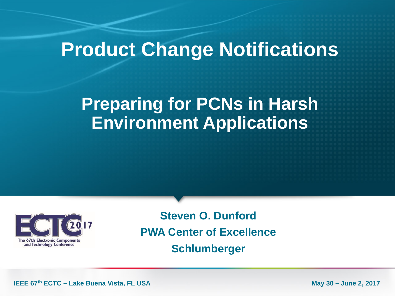## **Product Change Notifications**

## **Preparing for PCNs in Harsh Environment Applications**



**Steven O. Dunford PWA Center of Excellence Schlumberger**

**IEEE 67th ECTC – Lake Buena Vista, FL USA** May 30 – June 2, 2017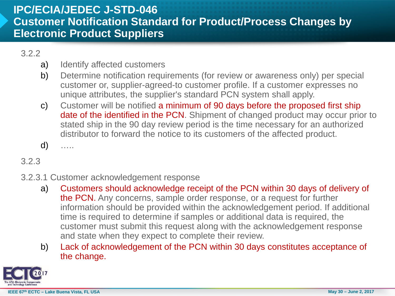#### **IPC/ECIA/JEDEC J-STD-046 Customer Notification Standard for Product/Process Changes by Electronic Product Suppliers**

#### 3.2.2

- a) Identify affected customers
- b) Determine notification requirements (for review or awareness only) per special customer or, supplier-agreed-to customer profile. If a customer expresses no unique attributes, the supplier's standard PCN system shall apply.
- c) Customer will be notified a minimum of 90 days before the proposed first ship date of the identified in the PCN. Shipment of changed product may occur prior to stated ship in the 90 day review period is the time necessary for an authorized distributor to forward the notice to its customers of the affected product.
- d) …..

#### 3.2.3

#### 3.2.3.1 Customer acknowledgement response

- a) Customers should acknowledge receipt of the PCN within 30 days of delivery of the PCN. Any concerns, sample order response, or a request for further information should be provided within the acknowledgement period. If additional time is required to determine if samples or additional data is required, the customer must submit this request along with the acknowledgement response and state when they expect to complete their review.
- b) Lack of acknowledgement of the PCN within 30 days constitutes acceptance of the change.

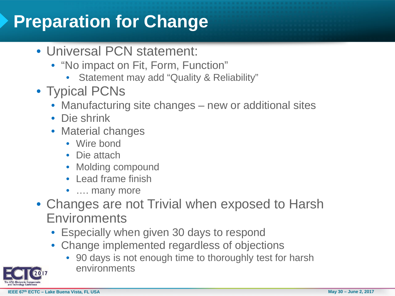## **Preparation for Change**

- Universal PCN statement:
	- "No impact on Fit, Form, Function"
		- Statement may add "Quality & Reliability"
- Typical PCNs
	- Manufacturing site changes new or additional sites
	- Die shrink
	- Material changes
		- Wire bond
		- Die attach
		- Molding compound
		- Lead frame finish
		- .... many more
- Changes are not Trivial when exposed to Harsh **Environments** 
	- Especially when given 30 days to respond
	- Change implemented regardless of objections
		- 90 days is not enough time to thoroughly test for harsh environments

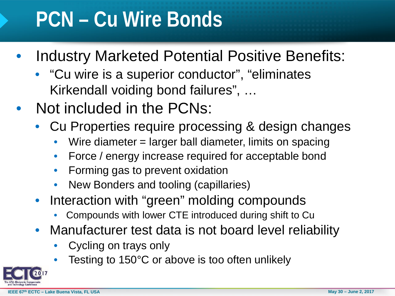# **PCN – Cu Wire Bonds**

- Industry Marketed Potential Positive Benefits:
	- "Cu wire is a superior conductor", "eliminates Kirkendall voiding bond failures", …
- Not included in the PCNs:
	- Cu Properties require processing & design changes
		- Wire diameter = larger ball diameter, limits on spacing
		- Force / energy increase required for acceptable bond
		- Forming gas to prevent oxidation
		- New Bonders and tooling (capillaries)
	- Interaction with "green" molding compounds
		- Compounds with lower CTE introduced during shift to Cu
	- Manufacturer test data is not board level reliability
		- Cycling on trays only
		- Testing to 150°C or above is too often unlikely

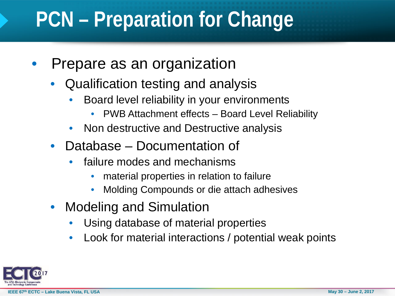# **PCN – Preparation for Change**

- Prepare as an organization
	- Qualification testing and analysis
		- Board level reliability in your environments
			- PWB Attachment effects Board Level Reliability
		- Non destructive and Destructive analysis
	- Database Documentation of
		- failure modes and mechanisms
			- material properties in relation to failure
			- Molding Compounds or die attach adhesives
	- Modeling and Simulation
		- Using database of material properties
		- Look for material interactions / potential weak points

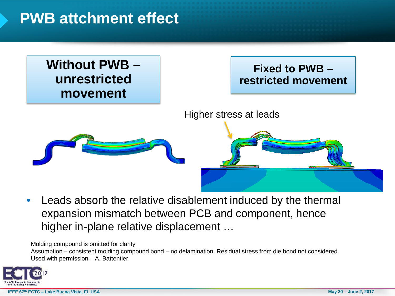### **PWB attchment effect**

#### **Without PWB – unrestricted movement**

#### **Fixed to PWB – restricted movement**

Higher stress at leads



Leads absorb the relative disablement induced by the thermal expansion mismatch between PCB and component, hence higher in-plane relative displacement …

Molding compound is omitted for clarity

Assumption – consistent molding compound bond – no delamination. Residual stress from die bond not considered. Used with permission – A. Battentier

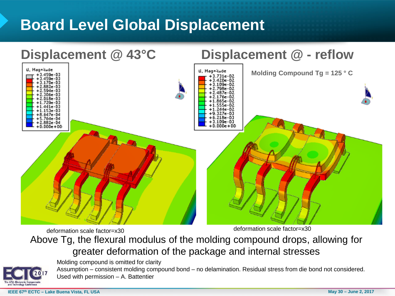### **Board Level Global Displacement**



#### deformation scale factor=x30 Above Tg, the flexural modulus of the molding compound drops, allowing for greater deformation of the package and internal stresses deformation scale factor=x30

Molding compound is omitted for clarity

Assumption – consistent molding compound bond – no delamination. Residual stress from die bond not considered. Used with permission – A. Battentier

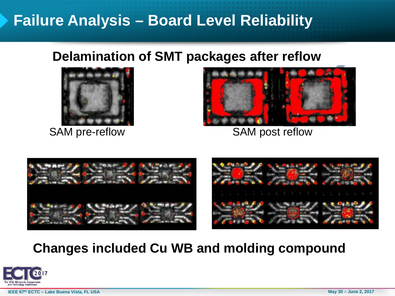### **Failure Analysis – Board Level Reliability**

#### **Delamination of SMT packages after reflow**





SAM pre-reflow SAM post reflow



### **Changes included Cu WB and molding compound**



**IEEE 67th ECTC – Lake Buena Vista, FL USA May 30 – June 2, 2017**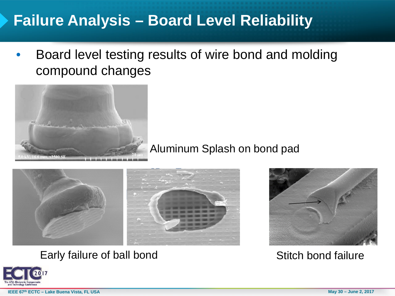### **Failure Analysis – Board Level Reliability**

Board level testing results of wire bond and molding compound changes



Aluminum Splash on bond pad



#### Early failure of ball bond Stitch bond failure



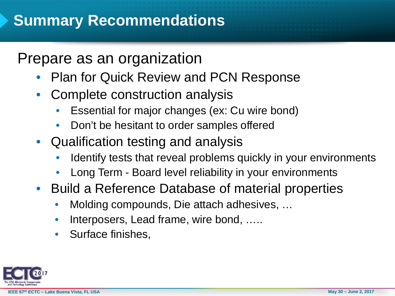### Prepare as an organization

- Plan for Quick Review and PCN Response
- Complete construction analysis
	- Essential for major changes (ex: Cu wire bond)
	- Don't be hesitant to order samples offered
- Qualification testing and analysis
	- Identify tests that reveal problems quickly in your environments
	- Long Term Board level reliability in your environments
- Build a Reference Database of material properties
	- Molding compounds, Die attach adhesives, …
	- Interposers, Lead frame, wire bond, .....
	- Surface finishes,